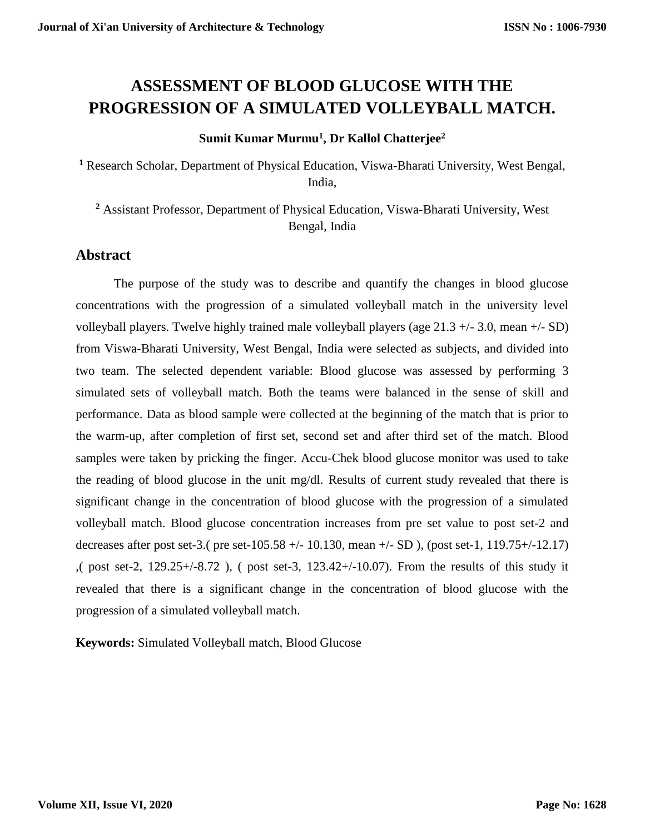# **ASSESSMENT OF BLOOD GLUCOSE WITH THE PROGRESSION OF A SIMULATED VOLLEYBALL MATCH.**

#### **Sumit Kumar Murmu<sup>1</sup> , Dr Kallol Chatterjee<sup>2</sup>**

**<sup>1</sup>** Research Scholar, Department of Physical Education, Viswa-Bharati University, West Bengal, India,

**<sup>2</sup>** Assistant Professor, Department of Physical Education, Viswa-Bharati University, West Bengal, India

## **Abstract**

The purpose of the study was to describe and quantify the changes in blood glucose concentrations with the progression of a simulated volleyball match in the university level volleyball players. Twelve highly trained male volleyball players (age 21.3 +/- 3.0, mean +/- SD) from Viswa-Bharati University, West Bengal, India were selected as subjects, and divided into two team. The selected dependent variable: Blood glucose was assessed by performing 3 simulated sets of volleyball match. Both the teams were balanced in the sense of skill and performance. Data as blood sample were collected at the beginning of the match that is prior to the warm-up, after completion of first set, second set and after third set of the match. Blood samples were taken by pricking the finger. Accu-Chek blood glucose monitor was used to take the reading of blood glucose in the unit mg/dl. Results of current study revealed that there is significant change in the concentration of blood glucose with the progression of a simulated volleyball match. Blood glucose concentration increases from pre set value to post set-2 and decreases after post set-3.( pre set-105.58 +/- 10.130, mean +/- SD), (post set-1, 119.75+/-12.17) ,( post set-2, 129.25+/-8.72 ), ( post set-3, 123.42+/-10.07). From the results of this study it revealed that there is a significant change in the concentration of blood glucose with the progression of a simulated volleyball match.

**Keywords:** Simulated Volleyball match, Blood Glucose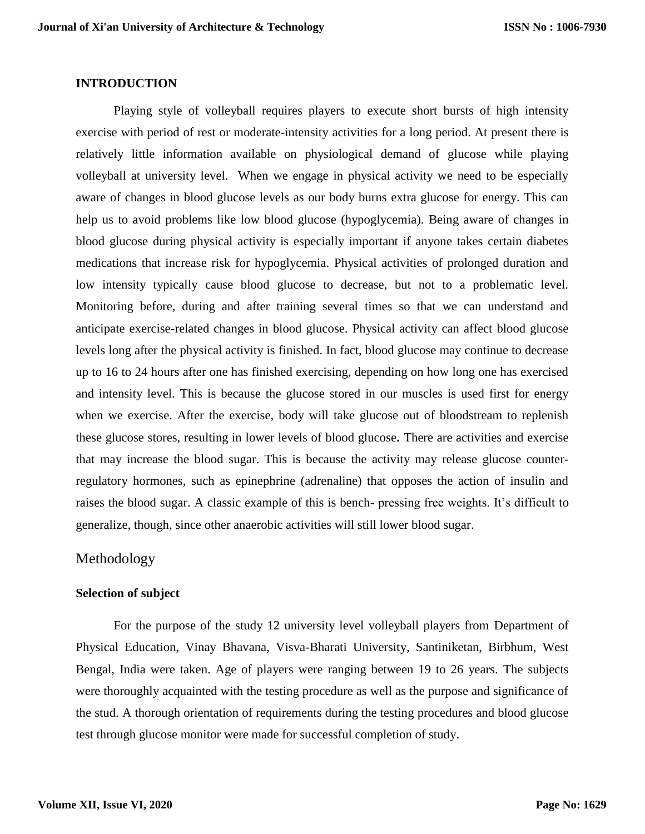#### **INTRODUCTION**

Playing style of volleyball requires players to execute short bursts of high intensity exercise with period of rest or moderate-intensity activities for a long period. At present there is relatively little information available on physiological demand of glucose while playing volleyball at university level. When we engage in physical activity we need to be especially aware of changes in blood glucose levels as our body burns extra glucose for energy. This can help us to avoid problems like low blood glucose (hypoglycemia). Being aware of changes in blood glucose during physical activity is especially important if anyone takes certain diabetes medications that increase risk for hypoglycemia. Physical activities of prolonged duration and low intensity typically cause blood glucose to decrease, but not to a problematic level. Monitoring before, during and after training several times so that we can understand and anticipate exercise-related changes in blood glucose. Physical activity can affect blood glucose levels long after the physical activity is finished. In fact, blood glucose may continue to decrease up to 16 to 24 hours after one has finished exercising, depending on how long one has exercised and intensity level. This is because the glucose stored in our muscles is used first for energy when we exercise. After the exercise, body will take glucose out of bloodstream to replenish these glucose stores, resulting in lower levels of blood glucose**.** There are activities and exercise that may increase the blood sugar. This is because the activity may release glucose counterregulatory hormones, such as epinephrine (adrenaline) that opposes the action of insulin and raises the blood sugar. A classic example of this is bench- pressing free weights. It's difficult to generalize, though, since other anaerobic activities will still lower blood sugar.

## Methodology

#### **Selection of subject**

For the purpose of the study 12 university level volleyball players from Department of Physical Education, Vinay Bhavana, Visva-Bharati University, Santiniketan, Birbhum, West Bengal, India were taken. Age of players were ranging between 19 to 26 years. The subjects were thoroughly acquainted with the testing procedure as well as the purpose and significance of the stud. A thorough orientation of requirements during the testing procedures and blood glucose test through glucose monitor were made for successful completion of study.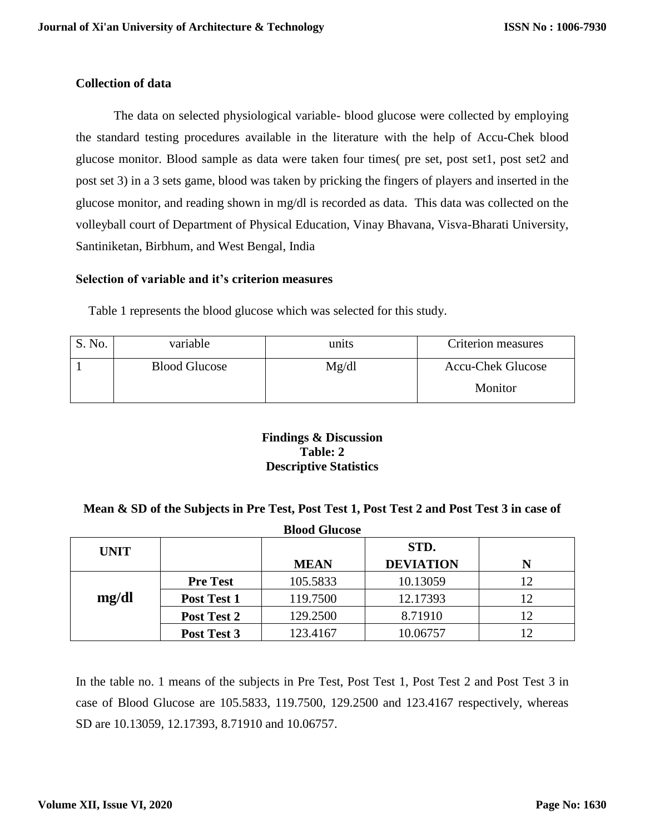## **Collection of data**

The data on selected physiological variable- blood glucose were collected by employing the standard testing procedures available in the literature with the help of Accu-Chek blood glucose monitor. Blood sample as data were taken four times( pre set, post set1, post set2 and post set 3) in a 3 sets game, blood was taken by pricking the fingers of players and inserted in the glucose monitor, and reading shown in mg/dl is recorded as data. This data was collected on the volleyball court of Department of Physical Education, Vinay Bhavana, Visva-Bharati University, Santiniketan, Birbhum, and West Bengal, India

#### **Selection of variable and it's criterion measures**

Table 1 represents the blood glucose which was selected for this study.

| $\mathsf{D}$ . No. | variable             | units | Criterion measures       |
|--------------------|----------------------|-------|--------------------------|
|                    | <b>Blood Glucose</b> | Mg/dl | <b>Accu-Chek Glucose</b> |
|                    |                      |       | Monitor                  |

#### **Findings & Discussion Table: 2 Descriptive Statistics**

#### **Mean & SD of the Subjects in Pre Test, Post Test 1, Post Test 2 and Post Test 3 in case of**

| <b>Blood Glucose</b> |                 |             |                  |    |  |  |
|----------------------|-----------------|-------------|------------------|----|--|--|
| <b>UNIT</b>          |                 |             | STD.             |    |  |  |
|                      |                 | <b>MEAN</b> | <b>DEVIATION</b> | N  |  |  |
|                      | <b>Pre Test</b> | 105.5833    | 10.13059         | 12 |  |  |
| mg/dl                | Post Test 1     | 119.7500    | 12.17393         | 12 |  |  |
|                      | Post Test 2     | 129.2500    | 8.71910          | 12 |  |  |
|                      | Post Test 3     | 123.4167    | 10.06757         | 12 |  |  |

In the table no. 1 means of the subjects in Pre Test, Post Test 1, Post Test 2 and Post Test 3 in case of Blood Glucose are 105.5833, 119.7500, 129.2500 and 123.4167 respectively, whereas SD are 10.13059, 12.17393, 8.71910 and 10.06757.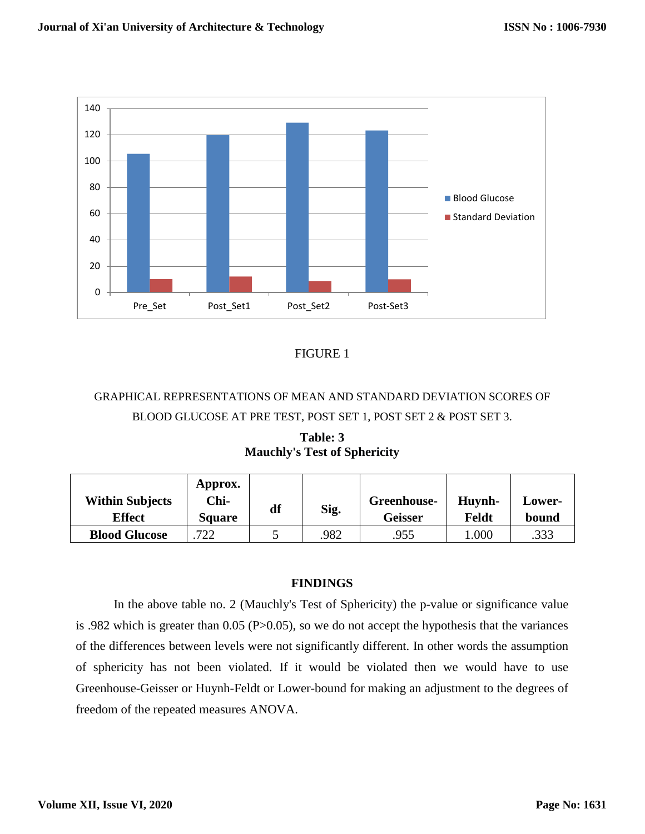

## FIGURE 1

## GRAPHICAL REPRESENTATIONS OF MEAN AND STANDARD DEVIATION SCORES OF BLOOD GLUCOSE AT PRE TEST, POST SET 1, POST SET 2 & POST SET 3.

**Table: 3 Mauchly's Test of Sphericity**

|                        | Approx.       |    |      |             |         |        |
|------------------------|---------------|----|------|-------------|---------|--------|
| <b>Within Subjects</b> | Chi-          | df |      | Greenhouse- | Huynh-  | Lower- |
| <b>Effect</b>          | <b>Square</b> |    | Sig. | Geisser     | Feldt   | bound  |
| <b>Blood Glucose</b>   | 722           |    | .982 | .955        | $000$ . | .333   |

#### **FINDINGS**

In the above table no. 2 (Mauchly's Test of Sphericity) the p-value or significance value is .982 which is greater than 0.05 (P>0.05), so we do not accept the hypothesis that the variances of the differences between levels were not significantly different. In other words the assumption of sphericity has not been violated. If it would be violated then we would have to use Greenhouse-Geisser or Huynh-Feldt or Lower-bound for making an adjustment to the degrees of freedom of the repeated measures ANOVA.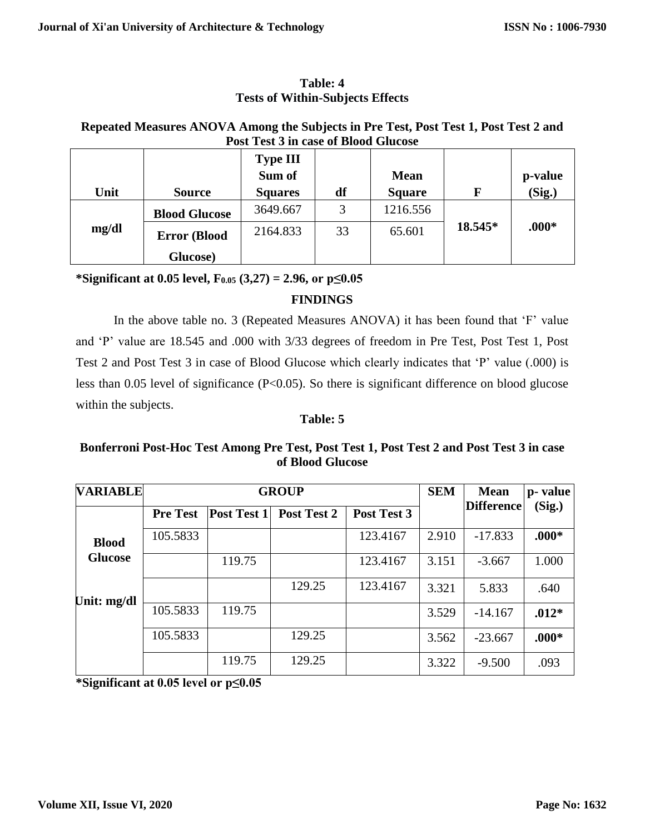#### **Table: 4 Tests of Within-Subjects Effects**

## **Repeated Measures ANOVA Among the Subjects in Pre Test, Post Test 1, Post Test 2 and Post Test 3 in case of Blood Glucose**

| Unit  | <b>Source</b>        | <b>Type III</b><br>Sum of<br><b>Squares</b> | df | <b>Mean</b><br><b>Square</b> | F       | p-value<br>(Sig.) |
|-------|----------------------|---------------------------------------------|----|------------------------------|---------|-------------------|
|       | <b>Blood Glucose</b> | 3649.667                                    | 3  | 1216.556                     |         |                   |
| mg/dl | <b>Error</b> (Blood  | 2164.833                                    | 33 | 65.601                       | 18.545* | $.000*$           |
|       | Glucose)             |                                             |    |                              |         |                   |

**\*Significant at 0.05 level, F0.05 (3,27) = 2.96, or p≤0.05**

## **FINDINGS**

In the above table no. 3 (Repeated Measures ANOVA) it has been found that 'F' value and 'P' value are 18.545 and .000 with 3/33 degrees of freedom in Pre Test, Post Test 1, Post Test 2 and Post Test 3 in case of Blood Glucose which clearly indicates that 'P' value (.000) is less than 0.05 level of significance (P<0.05). So there is significant difference on blood glucose within the subjects.

#### **Table: 5**

## **Bonferroni Post-Hoc Test Among Pre Test, Post Test 1, Post Test 2 and Post Test 3 in case of Blood Glucose**

| <b>VARIABLE</b> | <b>GROUP</b>    |                    |             |             |       | <b>Mean</b>       | p-value |
|-----------------|-----------------|--------------------|-------------|-------------|-------|-------------------|---------|
|                 | <b>Pre Test</b> | <b>Post Test 1</b> | Post Test 2 | Post Test 3 |       | <b>Difference</b> | (Sig.)  |
| <b>Blood</b>    | 105.5833        |                    |             | 123.4167    | 2.910 | $-17.833$         | $.000*$ |
| <b>Glucose</b>  |                 | 119.75             |             | 123.4167    | 3.151 | $-3.667$          | 1.000   |
| Unit: mg/dl     |                 |                    | 129.25      | 123.4167    | 3.321 | 5.833             | .640    |
|                 | 105.5833        | 119.75             |             |             | 3.529 | $-14.167$         | $.012*$ |
|                 | 105.5833        |                    | 129.25      |             | 3.562 | $-23.667$         | $.000*$ |
|                 |                 | 119.75             | 129.25      |             | 3.322 | $-9.500$          | .093    |

**\*Significant at 0.05 level or p≤0.05**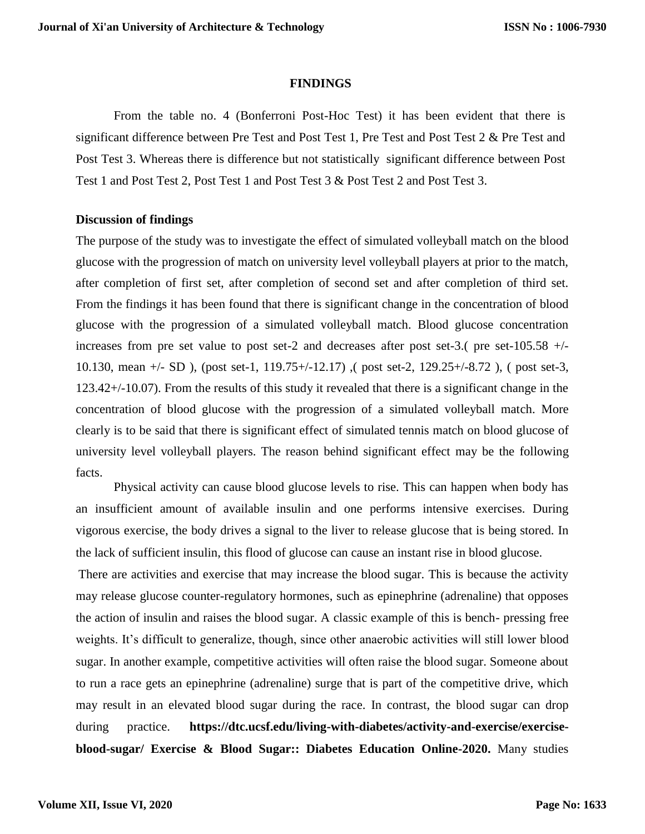#### **FINDINGS**

From the table no. 4 (Bonferroni Post-Hoc Test) it has been evident that there is significant difference between Pre Test and Post Test 1, Pre Test and Post Test 2 & Pre Test and Post Test 3. Whereas there is difference but not statistically significant difference between Post Test 1 and Post Test 2, Post Test 1 and Post Test 3 & Post Test 2 and Post Test 3.

#### **Discussion of findings**

The purpose of the study was to investigate the effect of simulated volleyball match on the blood glucose with the progression of match on university level volleyball players at prior to the match, after completion of first set, after completion of second set and after completion of third set. From the findings it has been found that there is significant change in the concentration of blood glucose with the progression of a simulated volleyball match. Blood glucose concentration increases from pre set value to post set-2 and decreases after post set-3.( pre set-105.58  $+/-$ 10.130, mean +/- SD ), (post set-1, 119.75+/-12.17) ,( post set-2, 129.25+/-8.72 ), ( post set-3, 123.42+/-10.07). From the results of this study it revealed that there is a significant change in the concentration of blood glucose with the progression of a simulated volleyball match. More clearly is to be said that there is significant effect of simulated tennis match on blood glucose of university level volleyball players. The reason behind significant effect may be the following facts.

Physical activity can cause blood glucose levels to rise. This can happen when body has an insufficient amount of available insulin and one performs intensive exercises. During vigorous exercise, the body drives a signal to the liver to release glucose that is being stored. In the lack of sufficient insulin, this flood of glucose can cause an instant rise in blood glucose.

There are activities and exercise that may increase the blood sugar. This is because the activity may release glucose counter-regulatory hormones, such as epinephrine (adrenaline) that opposes the action of insulin and raises the blood sugar. A classic example of this is bench- pressing free weights. It's difficult to generalize, though, since other anaerobic activities will still lower blood sugar. In another example, competitive activities will often raise the blood sugar. Someone about to run a race gets an epinephrine (adrenaline) surge that is part of the competitive drive, which may result in an elevated blood sugar during the race. In contrast, the blood sugar can drop during practice. **https://dtc.ucsf.edu/living-with-diabetes/activity-and-exercise/exerciseblood-sugar/ Exercise & Blood Sugar:: Diabetes Education Online-2020.** Many studies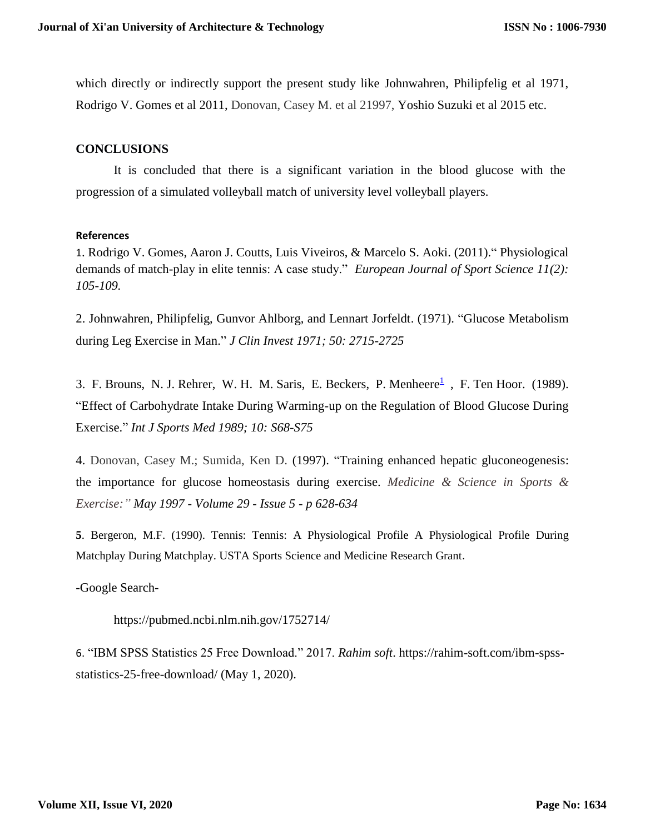which directly or indirectly support the present study like Johnwahren, Philipfelig et al 1971, Rodrigo V. Gomes et al 2011, Donovan, Casey M. et al 21997, Yoshio Suzuki et al 2015 etc.

#### **CONCLUSIONS**

It is concluded that there is a significant variation in the blood glucose with the progression of a simulated volleyball match of university level volleyball players.

#### **References**

1. Rodrigo V. Gomes, Aaron J. Coutts, Luis Viveiros, & Marcelo S. Aoki. (2011)." Physiological demands of match-play in elite tennis: A case study." *European Journal of Sport Science 11(2): 105-109.*

2. Johnwahren, Philipfelig, Gunvor Ahlborg, and Lennart Jorfeldt. (1971). "Glucose Metabolism during Leg Exercise in Man." *J Clin Invest 1971; 50: 2715-2725*

3. F. Brouns, N. J. Rehrer, W. H. M. Saris, E. Beckers, P. Menheere $\frac{1}{2}$  $\frac{1}{2}$  $\frac{1}{2}$ , F. Ten Hoor. (1989). "Effect of Carbohydrate Intake During Warming-up on the Regulation of Blood Glucose During Exercise." *Int J Sports Med 1989; 10: S68-S75*

4. Donovan, Casey M.; Sumida, Ken D. (1997). "Training enhanced hepatic gluconeogenesis: the importance for glucose homeostasis during exercise. *Medicine & Science in Sports & Exercise:" May 1997 - [Volume 29 -](https://journals.lww.com/acsm-msse/toc/1997/05000) Issue 5 - p 628-634*

**5**. Bergeron, M.F. (1990). Tennis: Tennis: A Physiological Profile A Physiological Profile During Matchplay During Matchplay. USTA Sports Science and Medicine Research Grant.

-Google Search-

<https://pubmed.ncbi.nlm.nih.gov/1752714/>

6. "IBM SPSS Statistics 25 Free Download." 2017. *Rahim soft*. https://rahim-soft.com/ibm-spssstatistics-25-free-download/ (May 1, 2020).